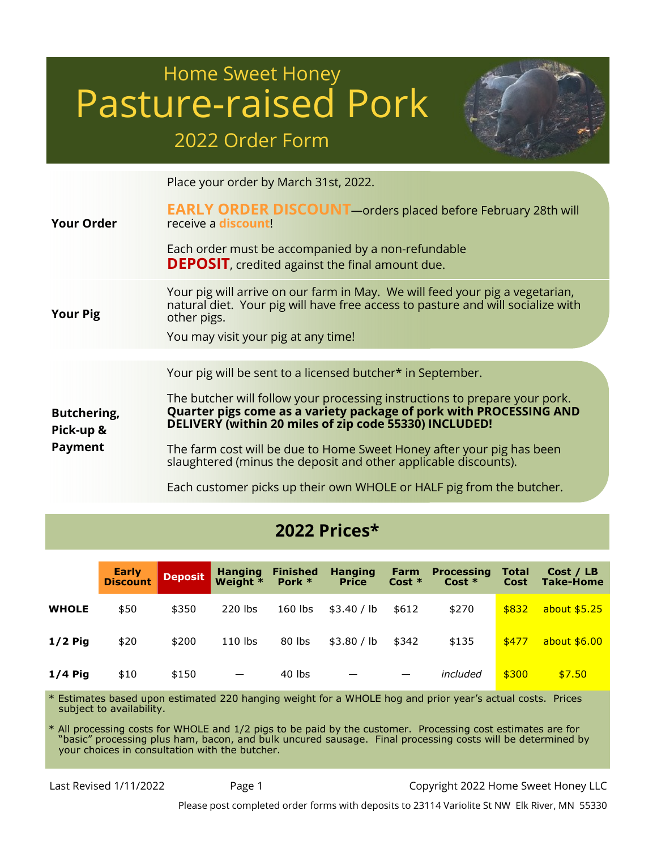# Home Sweet Honey Pasture-raised Pork 2022 Order Form



Place your order by March 31st, 2022.

| <b>Your Order</b>               | <b>EARLY ORDER DISCOUNT</b> - orders placed before February 28th will<br>receive a discount!<br>Each order must be accompanied by a non-refundable<br><b>DEPOSIT</b> , credited against the final amount due.         |
|---------------------------------|-----------------------------------------------------------------------------------------------------------------------------------------------------------------------------------------------------------------------|
| <b>Your Pig</b>                 | Your pig will arrive on our farm in May. We will feed your pig a vegetarian,<br>natural diet. Your pig will have free access to pasture and will socialize with<br>other pigs.<br>You may visit your pig at any time! |
|                                 |                                                                                                                                                                                                                       |
|                                 | Your pig will be sent to a licensed butcher* in September.                                                                                                                                                            |
| <b>Butchering,</b><br>Pick-up & | The butcher will follow your processing instructions to prepare your pork.<br>Quarter pigs come as a variety package of pork with PROCESSING AND<br>DELIVERY (within 20 miles of zip code 55330) INCLUDED!            |
| <b>Payment</b>                  | The farm cost will be due to Home Sweet Honey after your pig has been<br>slaughtered (minus the deposit and other applicable discounts).                                                                              |

Each customer picks up their own WHOLE or HALF pig from the butcher.

## 2022 Prices\*

|              | Early<br><b>Discount</b> | <b>Deposit</b> | <b>Hanging</b><br>Weight * | <b>Finished</b><br>Pork $*$ | <b>Hanging</b><br><b>Price</b> | Farm<br>$Cost *$ | <b>Processing</b><br>$Cost *$ | <b>Total</b><br>Cost | Cost / LB<br>Take-Home |
|--------------|--------------------------|----------------|----------------------------|-----------------------------|--------------------------------|------------------|-------------------------------|----------------------|------------------------|
| <b>WHOLE</b> | \$50                     | \$350          | 220 lbs                    | $160$ lbs                   | \$3.40 / lb                    | \$612            | \$270                         | \$832                | about \$5.25           |
| $1/2$ Pig    | \$20                     | \$200          | $110$ lbs                  | 80 lbs                      | \$3.80 / lb                    | \$342            | \$135                         | \$477                | about \$6.00           |
| $1/4$ Pig    | \$10                     | \$150          |                            | 40 lbs                      | $\overline{\phantom{0}}$       |                  | included                      | \$300                | \$7.50                 |

Estimates based upon estimated 220 hanging weight for a WHOLE hog and prior year's actual costs. Prices subject to availability.

\* All processing costs for WHOLE and 1/2 pigs to be paid by the customer. Processing cost estimates are for "basic" processing plus ham, bacon, and bulk uncured sausage. Final processing costs will be determined by your choices in consultation with the butcher.

Last Revised 1/11/2022 Page 1 Copyright 2022 Home Sweet Honey LLC